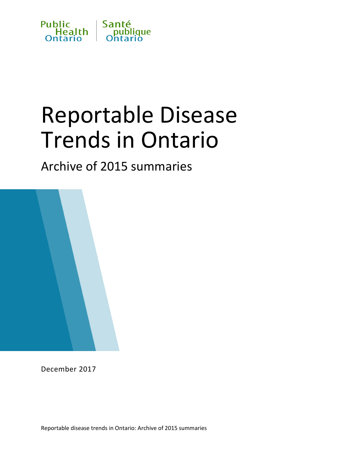

# Reportable Disease Trends in Ontario

Archive of 2015 summaries



December 2017

Reportable disease trends in Ontario: Archive of 2015 summaries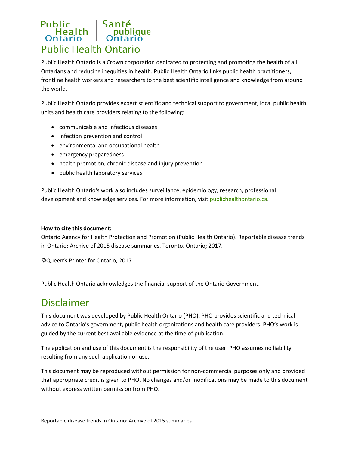## Public<br>
Health | Santé<br>
Ontario | Ontario Public Health Ontario

Public Health Ontario is a Crown corporation dedicated to protecting and promoting the health of all Ontarians and reducing inequities in health. Public Health Ontario links public health practitioners, frontline health workers and researchers to the best scientific intelligence and knowledge from around the world.

Public Health Ontario provides expert scientific and technical support to government, local public health units and health care providers relating to the following:

- communicable and infectious diseases
- infection prevention and control
- environmental and occupational health
- emergency preparedness
- health promotion, chronic disease and injury prevention
- public health laboratory services

Public Health Ontario's work also includes surveillance, epidemiology, research, professional development and knowledge services. For more information, visit [publichealthontario.ca.](http://www.publichealthontario.ca/)

#### **How to cite this document:**

Ontario Agency for Health Protection and Promotion (Public Health Ontario). Reportable disease trends in Ontario: Archive of 2015 disease summaries. Toronto. Ontario; 2017.

©Queen's Printer for Ontario, 2017

Public Health Ontario acknowledges the financial support of the Ontario Government.

#### Disclaimer

This document was developed by Public Health Ontario (PHO). PHO provides scientific and technical advice to Ontario's government, public health organizations and health care providers. PHO's work is guided by the current best available evidence at the time of publication.

The application and use of this document is the responsibility of the user. PHO assumes no liability resulting from any such application or use.

This document may be reproduced without permission for non-commercial purposes only and provided that appropriate credit is given to PHO. No changes and/or modifications may be made to this document without express written permission from PHO.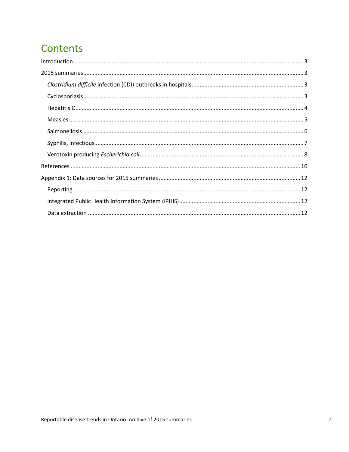#### **Contents**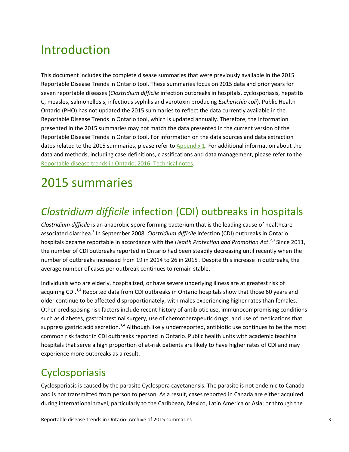### <span id="page-3-0"></span>Introduction

This document includes the complete disease summaries that were previously available in the 2015 Reportable Disease Trends in Ontario tool. These summaries focus on 2015 data and prior years for seven reportable diseases (*Clostridium difficile* infection outbreaks in hospitals, cyclosporiasis, hepatitis C, measles, salmonellosis, infectious syphilis and verotoxin producing *Escherichia coli*). Public Health Ontario (PHO) has not updated the 2015 summaries to reflect the data currently available in the Reportable Disease Trends in Ontario tool, which is updated annually. Therefore, the information presented in the 2015 summaries may not match the data presented in the current version of the Reportable Disease Trends in Ontario tool. For information on the data sources and data extraction dates related to the 2015 summaries, please refer t[o Appendix 1.](#page-12-0) For additional information about the data and methods, including case definitions, classifications and data management, please refer to the [Reportable disease trends in Ontario, 2016: Technical notes.](https://www.publichealthontario.ca/rdto2016notes)

#### <span id="page-3-1"></span>2015 summaries

#### <span id="page-3-2"></span>*Clostridium difficile* infection (CDI) outbreaks in hospitals

*Clostridium difficile* is an anaerobic spore forming bacterium that is the leading cause of healthcare associated diarrhea.1 In September 2008, *Clostridium difficile* infection (CDI) outbreaks in Ontario hospitals became reportable in accordance with the *Health Protection and Promotion Act*.<sup>2,3</sup> Since 2011, the number of CDI outbreaks reported in Ontario had been steadily decreasing until recently when the number of outbreaks increased from 19 in 2014 to 26 in 2015 . Despite this increase in outbreaks, the average number of cases per outbreak continues to remain stable.

Individuals who are elderly, hospitalized, or have severe underlying illness are at greatest risk of acquiring CDI.<sup>1,4</sup> Reported data from CDI outbreaks in Ontario hospitals show that those 60 years and older continue to be affected disproportionately, with males experiencing higher rates than females. Other predisposing risk factors include recent history of antibiotic use, immunocompromising conditions such as diabetes, gastrointestinal surgery, use of chemotherapeutic drugs, and use of medications that suppress gastric acid secretion.<sup>1,4</sup> Although likely underreported, antibiotic use continues to be the most common risk factor in CDI outbreaks reported in Ontario. Public health units with academic teaching hospitals that serve a high proportion of at-risk patients are likely to have higher rates of CDI and may experience more outbreaks as a result.

#### <span id="page-3-3"></span>Cyclosporiasis

Cyclosporiasis is caused by the parasite Cyclospora cayetanensis. The parasite is not endemic to Canada and is not transmitted from person to person. As a result, cases reported in Canada are either acquired during international travel, particularly to the Caribbean, Mexico, Latin America or Asia; or through the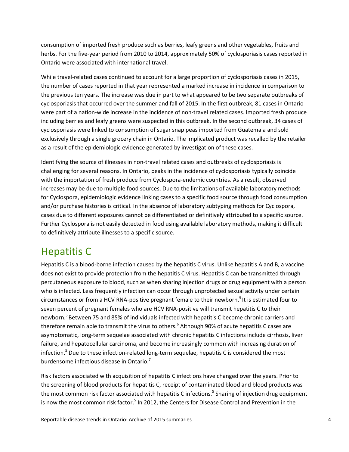consumption of imported fresh produce such as berries, leafy greens and other vegetables, fruits and herbs. For the five-year period from 2010 to 2014, approximately 50% of cyclosporiasis cases reported in Ontario were associated with international travel.

While travel-related cases continued to account for a large proportion of cyclosporiasis cases in 2015, the number of cases reported in that year represented a marked increase in incidence in comparison to the previous ten years. The increase was due in part to what appeared to be two separate outbreaks of cyclosporiasis that occurred over the summer and fall of 2015. In the first outbreak, 81 cases in Ontario were part of a nation-wide increase in the incidence of non-travel related cases. Imported fresh produce including berries and leafy greens were suspected in this outbreak. In the second outbreak, 34 cases of cyclosporiasis were linked to consumption of sugar snap peas imported from Guatemala and sold exclusively through a single grocery chain in Ontario. The implicated product was recalled by the retailer as a result of the epidemiologic evidence generated by investigation of these cases.

Identifying the source of illnesses in non-travel related cases and outbreaks of cyclosporiasis is challenging for several reasons. In Ontario, peaks in the incidence of cyclosporiasis typically coincide with the importation of fresh produce from Cyclospora-endemic countries. As a result, observed increases may be due to multiple food sources. Due to the limitations of available laboratory methods for Cyclospora, epidemiologic evidence linking cases to a specific food source through food consumption and/or purchase histories is critical. In the absence of laboratory subtyping methods for Cyclospora, cases due to different exposures cannot be differentiated or definitively attributed to a specific source. Further Cyclospora is not easily detected in food using available laboratory methods, making it difficult to definitively attribute illnesses to a specific source.

#### <span id="page-4-0"></span>Hepatitis C

Hepatitis C is a blood-borne infection caused by the hepatitis C virus. Unlike hepatitis A and B, a vaccine does not exist to provide protection from the hepatitis C virus. Hepatitis C can be transmitted through percutaneous exposure to blood, such as when sharing injection drugs or drug equipment with a person who is infected. Less frequently infection can occur through unprotected sexual activity under certain circumstances or from a HCV RNA-positive pregnant female to their newborn.<sup>5</sup> It is estimated four to seven percent of pregnant females who are HCV RNA-positive will transmit hepatitis C to their newborn.<sup>5</sup> Between 75 and 85% of individuals infected with hepatitis C become chronic carriers and therefore remain able to transmit the virus to others.<sup>6</sup> Although 90% of acute hepatitis C cases are asymptomatic, long-term sequelae associated with chronic hepatitis C infections include cirrhosis, liver failure, and hepatocellular carcinoma, and become increasingly common with increasing duration of infection.<sup>5</sup> Due to these infection-related long-term sequelae, hepatitis C is considered the most burdensome infectious disease in Ontario.<sup>7</sup>

Risk factors associated with acquisition of hepatitis C infections have changed over the years. Prior to the screening of blood products for hepatitis C, receipt of contaminated blood and blood products was the most common risk factor associated with hepatitis C infections.<sup>5</sup> Sharing of injection drug equipment is now the most common risk factor.<sup>5</sup> In 2012, the Centers for Disease Control and Prevention in the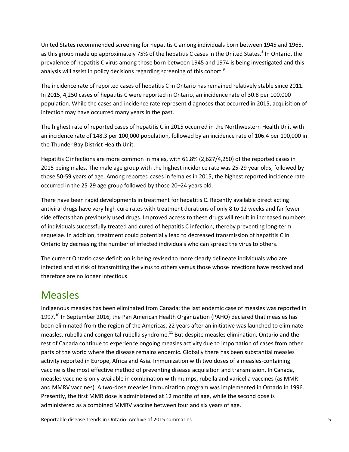United States recommended screening for hepatitis C among individuals born between 1945 and 1965, as this group made up approximately 75% of the hepatitis C cases in the United States.<sup>8</sup> In Ontario, the prevalence of hepatitis C virus among those born between 1945 and 1974 is being investigated and this analysis will assist in policy decisions regarding screening of this cohort.<sup>9</sup>

The incidence rate of reported cases of hepatitis C in Ontario has remained relatively stable since 2011. In 2015, 4,250 cases of hepatitis C were reported in Ontario, an incidence rate of 30.8 per 100,000 population. While the cases and incidence rate represent diagnoses that occurred in 2015, acquisition of infection may have occurred many years in the past.

The highest rate of reported cases of hepatitis C in 2015 occurred in the Northwestern Health Unit with an incidence rate of 148.3 per 100,000 population, followed by an incidence rate of 106.4 per 100,000 in the Thunder Bay District Health Unit.

Hepatitis C infections are more common in males, with 61.8% (2,627/4,250) of the reported cases in 2015 being males. The male age group with the highest incidence rate was 25-29 year olds, followed by those 50-59 years of age. Among reported cases in females in 2015, the highest reported incidence rate occurred in the 25-29 age group followed by those 20–24 years old.

There have been rapid developments in treatment for hepatitis C. Recently available direct acting antiviral drugs have very high cure rates with treatment durations of only 8 to 12 weeks and far fewer side effects than previously used drugs. Improved access to these drugs will result in increased numbers of individuals successfully treated and cured of hepatitis C infection, thereby preventing long-term sequelae. In addition, treatment could potentially lead to decreased transmission of hepatitis C in Ontario by decreasing the number of infected individuals who can spread the virus to others.

The current Ontario case definition is being revised to more clearly delineate individuals who are infected and at risk of transmitting the virus to others versus those whose infections have resolved and therefore are no longer infectious.

#### <span id="page-5-0"></span>Measles

Indigenous measles has been eliminated from Canada; the last endemic case of measles was reported in 1997.<sup>10</sup> In September 2016, the Pan American Health Organization (PAHO) declared that measles has been eliminated from the region of the Americas, 22 years after an initiative was launched to eliminate measles, rubella and congenital rubella syndrome.<sup>11</sup> But despite measles elimination, Ontario and the rest of Canada continue to experience ongoing measles activity due to importation of cases from other parts of the world where the disease remains endemic. Globally there has been substantial measles activity reported in Europe, Africa and Asia. Immunization with two doses of a measles-containing vaccine is the most effective method of preventing disease acquisition and transmission. In Canada, measles vaccine is only available in combination with mumps, rubella and varicella vaccines (as MMR and MMRV vaccines). A two-dose measles immunization program was implemented in Ontario in 1996. Presently, the first MMR dose is administered at 12 months of age, while the second dose is administered as a combined MMRV vaccine between four and six years of age.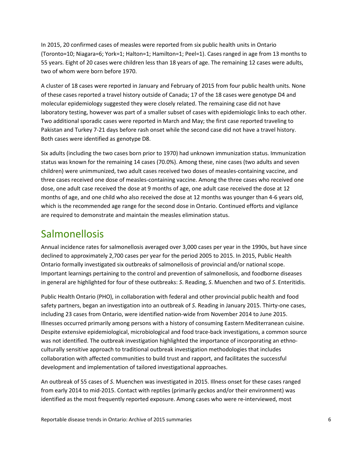In 2015, 20 confirmed cases of measles were reported from six public health units in Ontario (Toronto=10; Niagara=6; York=1; Halton=1; Hamilton=1; Peel=1). Cases ranged in age from 13 months to 55 years. Eight of 20 cases were children less than 18 years of age. The remaining 12 cases were adults, two of whom were born before 1970.

A cluster of 18 cases were reported in January and February of 2015 from four public health units. None of these cases reported a travel history outside of Canada; 17 of the 18 cases were genotype D4 and molecular epidemiology suggested they were closely related. The remaining case did not have laboratory testing, however was part of a smaller subset of cases with epidemiologic links to each other. Two additional sporadic cases were reported in March and May; the first case reported traveling to Pakistan and Turkey 7-21 days before rash onset while the second case did not have a travel history. Both cases were identified as genotype D8.

Six adults (including the two cases born prior to 1970) had unknown immunization status. Immunization status was known for the remaining 14 cases (70.0%). Among these, nine cases (two adults and seven children) were unimmunized, two adult cases received two doses of measles-containing vaccine, and three cases received one dose of measles-containing vaccine. Among the three cases who received one dose, one adult case received the dose at 9 months of age, one adult case received the dose at 12 months of age, and one child who also received the dose at 12 months was younger than 4-6 years old, which is the recommended age range for the second dose in Ontario. Continued efforts and vigilance are required to demonstrate and maintain the measles elimination status.

#### <span id="page-6-0"></span>Salmonellosis

Annual incidence rates for salmonellosis averaged over 3,000 cases per year in the 1990s, but have since declined to approximately 2,700 cases per year for the period 2005 to 2015. In 2015, Public Health Ontario formally investigated six outbreaks of salmonellosis of provincial and/or national scope. Important learnings pertaining to the control and prevention of salmonellosis, and foodborne diseases in general are highlighted for four of these outbreaks: *S*. Reading, *S*. Muenchen and two of *S*. Enteritidis.

Public Health Ontario (PHO), in collaboration with federal and other provincial public health and food safety partners, began an investigation into an outbreak of *S*. Reading in January 2015. Thirty-one cases, including 23 cases from Ontario, were identified nation-wide from November 2014 to June 2015. Illnesses occurred primarily among persons with a history of consuming Eastern Mediterranean cuisine. Despite extensive epidemiological, microbiological and food trace-back investigations, a common source was not identified. The outbreak investigation highlighted the importance of incorporating an ethnoculturally sensitive approach to traditional outbreak investigation methodologies that includes collaboration with affected communities to build trust and rapport, and facilitates the successful development and implementation of tailored investigational approaches.

An outbreak of 55 cases of *S*. Muenchen was investigated in 2015. Illness onset for these cases ranged from early 2014 to mid-2015. Contact with reptiles (primarily geckos and/or their environment) was identified as the most frequently reported exposure. Among cases who were re-interviewed, most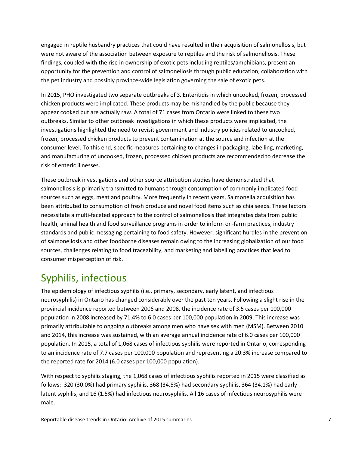engaged in reptile husbandry practices that could have resulted in their acquisition of salmonellosis, but were not aware of the association between exposure to reptiles and the risk of salmonellosis. These findings, coupled with the rise in ownership of exotic pets including reptiles/amphibians, present an opportunity for the prevention and control of salmonellosis through public education, collaboration with the pet industry and possibly province-wide legislation governing the sale of exotic pets.

In 2015, PHO investigated two separate outbreaks of *S*. Enteritidis in which uncooked, frozen, processed chicken products were implicated. These products may be mishandled by the public because they appear cooked but are actually raw. A total of 71 cases from Ontario were linked to these two outbreaks. Similar to other outbreak investigations in which these products were implicated, the investigations highlighted the need to revisit government and industry policies related to uncooked, frozen, processed chicken products to prevent contamination at the source and infection at the consumer level. To this end, specific measures pertaining to changes in packaging, labelling, marketing, and manufacturing of uncooked, frozen, processed chicken products are recommended to decrease the risk of enteric illnesses.

These outbreak investigations and other source attribution studies have demonstrated that salmonellosis is primarily transmitted to humans through consumption of commonly implicated food sources such as eggs, meat and poultry. More frequently in recent years, Salmonella acquisition has been attributed to consumption of fresh produce and novel food items such as chia seeds. These factors necessitate a multi-faceted approach to the control of salmonellosis that integrates data from public health, animal health and food surveillance programs in order to inform on-farm practices, industry standards and public messaging pertaining to food safety. However, significant hurdles in the prevention of salmonellosis and other foodborne diseases remain owing to the increasing globalization of our food sources, challenges relating to food traceability, and marketing and labelling practices that lead to consumer misperception of risk.

#### <span id="page-7-0"></span>Syphilis, infectious

The epidemiology of infectious syphilis (i.e., primary, secondary, early latent, and infectious neurosyphilis) in Ontario has changed considerably over the past ten years. Following a slight rise in the provincial incidence reported between 2006 and 2008, the incidence rate of 3.5 cases per 100,000 population in 2008 increased by 71.4% to 6.0 cases per 100,000 population in 2009. This increase was primarily attributable to ongoing outbreaks among men who have sex with men (MSM). Between 2010 and 2014, this increase was sustained, with an average annual incidence rate of 6.0 cases per 100,000 population. In 2015, a total of 1,068 cases of infectious syphilis were reported in Ontario, corresponding to an incidence rate of 7.7 cases per 100,000 population and representing a 20.3% increase compared to the reported rate for 2014 (6.0 cases per 100,000 population).

With respect to syphilis staging, the 1,068 cases of infectious syphilis reported in 2015 were classified as follows: 320 (30.0%) had primary syphilis, 368 (34.5%) had secondary syphilis, 364 (34.1%) had early latent syphilis, and 16 (1.5%) had infectious neurosyphilis. All 16 cases of infectious neurosyphilis were male.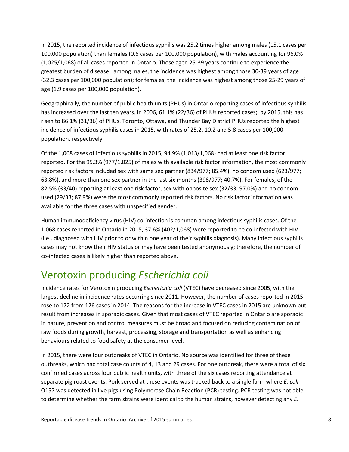In 2015, the reported incidence of infectious syphilis was 25.2 times higher among males (15.1 cases per 100,000 population) than females (0.6 cases per 100,000 population), with males accounting for 96.0% (1,025/1,068) of all cases reported in Ontario. Those aged 25-39 years continue to experience the greatest burden of disease: among males, the incidence was highest among those 30-39 years of age (32.3 cases per 100,000 population); for females, the incidence was highest among those 25-29 years of age (1.9 cases per 100,000 population).

Geographically, the number of public health units (PHUs) in Ontario reporting cases of infectious syphilis has increased over the last ten years. In 2006, 61.1% (22/36) of PHUs reported cases; by 2015, this has risen to 86.1% (31/36) of PHUs. Toronto, Ottawa, and Thunder Bay District PHUs reported the highest incidence of infectious syphilis cases in 2015, with rates of 25.2, 10.2 and 5.8 cases per 100,000 population, respectively.

Of the 1,068 cases of infectious syphilis in 2015, 94.9% (1,013/1,068) had at least one risk factor reported. For the 95.3% (977/1,025) of males with available risk factor information, the most commonly reported risk factors included sex with same sex partner (834/977; 85.4%), no condom used (623/977; 63.8%), and more than one sex partner in the last six months (398/977; 40.7%). For females, of the 82.5% (33/40) reporting at least one risk factor, sex with opposite sex (32/33; 97.0%) and no condom used (29/33; 87.9%) were the most commonly reported risk factors. No risk factor information was available for the three cases with unspecified gender.

Human immunodeficiency virus (HIV) co-infection is common among infectious syphilis cases. Of the 1,068 cases reported in Ontario in 2015, 37.6% (402/1,068) were reported to be co-infected with HIV (i.e., diagnosed with HIV prior to or within one year of their syphilis diagnosis). Many infectious syphilis cases may not know their HIV status or may have been tested anonymously; therefore, the number of co-infected cases is likely higher than reported above.

#### <span id="page-8-0"></span>Verotoxin producing *Escherichia coli*

Incidence rates for Verotoxin producing *Escherichia coli* (VTEC) have decreased since 2005, with the largest decline in incidence rates occurring since 2011. However, the number of cases reported in 2015 rose to 172 from 126 cases in 2014. The reasons for the increase in VTEC cases in 2015 are unknown but result from increases in sporadic cases. Given that most cases of VTEC reported in Ontario are sporadic in nature, prevention and control measures must be broad and focused on reducing contamination of raw foods during growth, harvest, processing, storage and transportation as well as enhancing behaviours related to food safety at the consumer level.

In 2015, there were four outbreaks of VTEC in Ontario. No source was identified for three of these outbreaks, which had total case counts of 4, 13 and 29 cases. For one outbreak, there were a total of six confirmed cases across four public health units, with three of the six cases reporting attendance at separate pig roast events. Pork served at these events was tracked back to a single farm where *E. coli*  O157 was detected in live pigs using Polymerase Chain Reaction (PCR) testing. PCR testing was not able to determine whether the farm strains were identical to the human strains, however detecting any *E.*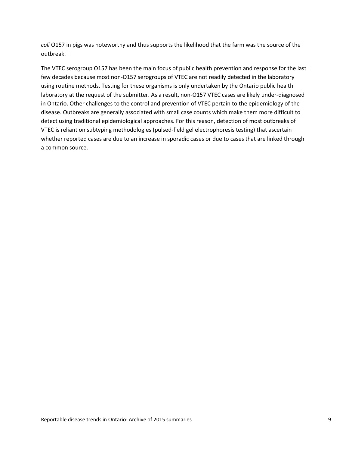*coli* O157 in pigs was noteworthy and thus supports the likelihood that the farm was the source of the outbreak.

The VTEC serogroup O157 has been the main focus of public health prevention and response for the last few decades because most non-O157 serogroups of VTEC are not readily detected in the laboratory using routine methods. Testing for these organisms is only undertaken by the Ontario public health laboratory at the request of the submitter. As a result, non-O157 VTEC cases are likely under-diagnosed in Ontario. Other challenges to the control and prevention of VTEC pertain to the epidemiology of the disease. Outbreaks are generally associated with small case counts which make them more difficult to detect using traditional epidemiological approaches. For this reason, detection of most outbreaks of VTEC is reliant on subtyping methodologies (pulsed-field gel electrophoresis testing) that ascertain whether reported cases are due to an increase in sporadic cases or due to cases that are linked through a common source.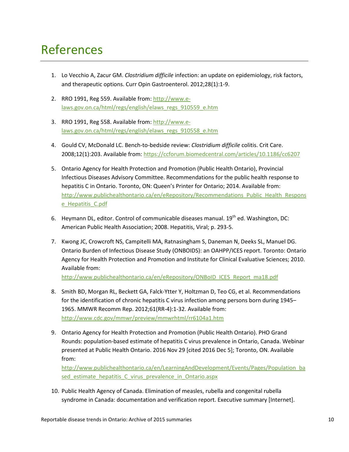#### <span id="page-10-0"></span>References

- 1. Lo Vecchio A, Zacur GM. *Clostridium difficile* infection: an update on epidemiology, risk factors, and therapeutic options. Curr Opin Gastroenterol. 2012;28(1):1-9.
- 2. RRO 1991, Reg 559. Available from[: http://www.e](http://www.e-laws.gov.on.ca/html/regs/english/elaws_regs_910559_e.htm)[laws.gov.on.ca/html/regs/english/elaws\\_regs\\_910559\\_e.htm](http://www.e-laws.gov.on.ca/html/regs/english/elaws_regs_910559_e.htm)
- 3. RRO 1991, Reg 558. Available from: [http://www.e](http://www.e-laws.gov.on.ca/html/regs/english/elaws_regs_910558_e.htm)[laws.gov.on.ca/html/regs/english/elaws\\_regs\\_910558\\_e.htm](http://www.e-laws.gov.on.ca/html/regs/english/elaws_regs_910558_e.htm)
- 4. Gould CV, McDonald LC. Bench-to-bedside review: *Clostridium difficile* colitis. Crit Care. 2008;12(1):203. Available from:<https://ccforum.biomedcentral.com/articles/10.1186/cc6207>
- 5. Ontario Agency for Health Protection and Promotion (Public Health Ontario), Provincial Infectious Diseases Advisory Committee. Recommendations for the public health response to hepatitis C in Ontario. Toronto, ON: Queen's Printer for Ontario; 2014. Available from: [http://www.publichealthontario.ca/en/eRepository/Recommendations\\_Public\\_Health\\_Respons](http://www.publichealthontario.ca/en/eRepository/Recommendations_Public_Health_Response_Hepatitis_C.pdf) [e\\_Hepatitis\\_C.pdf](http://www.publichealthontario.ca/en/eRepository/Recommendations_Public_Health_Response_Hepatitis_C.pdf)
- 6. Heymann DL, editor. Control of communicable diseases manual. 19<sup>th</sup> ed. Washington, DC: American Public Health Association; 2008. Hepatitis, Viral; p. 293-5.
- 7. Kwong JC, Crowcroft NS, Campitelli MA, Ratnasingham S, Daneman N, Deeks SL, Manuel DG. Ontario Burden of Infectious Disease Study (ONBOIDS): an OAHPP/ICES report. Toronto: Ontario Agency for Health Protection and Promotion and Institute for Clinical Evaluative Sciences; 2010. Available from:

[http://www.publichealthontario.ca/en/eRepository/ONBoID\\_ICES\\_Report\\_ma18.pdf](http://www.publichealthontario.ca/en/eRepository/ONBoID_ICES_Report_ma18.pdf)

- 8. Smith BD, Morgan RL, Beckett GA, Falck-Ytter Y, Holtzman D, Teo CG, et al. Recommendations for the identification of chronic hepatitis C virus infection among persons born during 1945– 1965. MMWR Recomm Rep. 2012;61(RR-4):1-32. Available from: <http://www.cdc.gov/mmwr/preview/mmwrhtml/rr6104a1.htm>
- 9. Ontario Agency for Health Protection and Promotion (Public Health Ontario). PHO Grand Rounds: population-based estimate of hepatitis C virus prevalence in Ontario, Canada. Webinar presented at Public Health Ontario. 2016 Nov 29 [cited 2016 Dec 5]; Toronto, ON. Available from:

[http://www.publichealthontario.ca/en/LearningAndDevelopment/Events/Pages/Population\\_ba](http://www.publichealthontario.ca/en/LearningAndDevelopment/Events/Pages/Population_based_estimate_hepatitis_C_virus_prevalence_in_Ontario.aspx) sed estimate hepatitis C virus prevalence in Ontario.aspx

10. Public Health Agency of Canada. Elimination of measles, rubella and congenital rubella syndrome in Canada: documentation and verification report. Executive summary [Internet].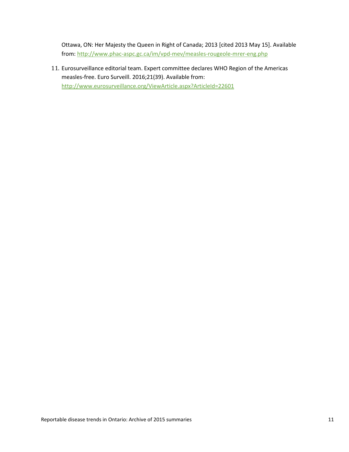Ottawa, ON: Her Majesty the Queen in Right of Canada; 2013 [cited 2013 May 15]. Available from:<http://www.phac-aspc.gc.ca/im/vpd-mev/measles-rougeole-mrer-eng.php>

11. Eurosurveillance editorial team. Expert committee declares WHO Region of the Americas measles-free. Euro Surveill. 2016;21(39). Available from: <http://www.eurosurveillance.org/ViewArticle.aspx?ArticleId=22601>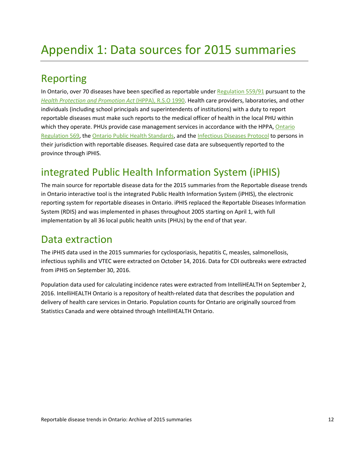#### <span id="page-12-1"></span><span id="page-12-0"></span>*<sup>1</sup>*Reporting

In Ontario, over 70 diseases have been specified as reportable under [Regulation 559/91](http://www.ontario.ca/laws/regulation/910559) pursuant to the *[Health Protection and Promotion Act](http://www.ontario.ca/laws/statute/90h07)* (HPPA), R.S.O 1990. Health care providers, laboratories, and other individuals (including school principals and superintendents of institutions) with a duty to report reportable diseases must make such reports to the medical officer of health in the local PHU within which they operate. PHUs provide case management services in accordance with the HPPA, Ontario [Regulation 569,](http://www.ontario.ca/laws/regulation/900569) the [Ontario Public Health Standards,](http://www.health.gov.on.ca/en/pro/programs/publichealth/oph_standards/infdispro.aspx) and th[e Infectious Diseases Protocol](http://www.health.gov.on.ca/en/pro/programs/publichealth/oph_standards/infdispro.aspx) to persons in their jurisdiction with reportable diseases. Required case data are subsequently reported to the province through iPHIS.

#### <span id="page-12-2"></span>integrated Public Health Information System (iPHIS)

The main source for reportable disease data for the 2015 summaries from the Reportable disease trends in Ontario interactive tool is the integrated Public Health Information System (iPHIS), the electronic reporting system for reportable diseases in Ontario. iPHIS replaced the Reportable Diseases Information System (RDIS) and was implemented in phases throughout 2005 starting on April 1, with full implementation by all 36 local public health units (PHUs) by the end of that year.

#### <span id="page-12-3"></span>Data extraction

The iPHIS data used in the 2015 summaries for cyclosporiasis, hepatitis C, measles, salmonellosis, infectious syphilis and VTEC were extracted on October 14, 2016. Data for CDI outbreaks were extracted from iPHIS on September 30, 2016.

Population data used for calculating incidence rates were extracted from IntelliHEALTH on September 2, 2016. IntelliHEALTH Ontario is a repository of health-related data that describes the population and delivery of health care services in Ontario. Population counts for Ontario are originally sourced from Statistics Canada and were obtained through IntelliHEALTH Ontario.